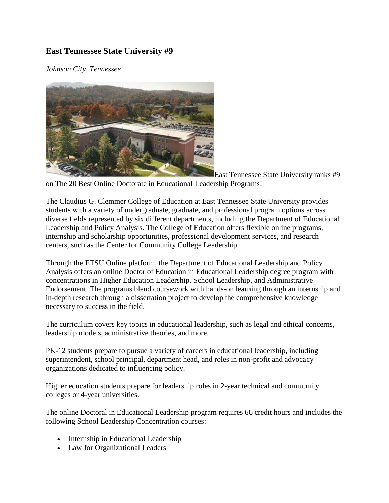## **East Tennessee State University #9**

*Johnson City, Tennessee*



East Tennessee State University ranks #9 on The 20 Best Online Doctorate in Educational Leadership Programs!

The Claudius G. Clemmer College of Education at East Tennessee State University provides students with a variety of undergraduate, graduate, and professional program options across diverse fields represented by six different departments, including the Department of Educational Leadership and Policy Analysis. The College of Education offers flexible online programs, internship and scholarship opportunities, professional development services, and research centers, such as the Center for Community College Leadership.

Through the ETSU Online platform, the Department of Educational Leadership and Policy Analysis offers an online Doctor of Education in Educational Leadership degree program with concentrations in Higher Education Leadership. School Leadership, and Administrative Endorsement. The programs blend coursework with hands-on learning through an internship and in-depth research through a dissertation project to develop the comprehensive knowledge necessary to success in the field.

The curriculum covers key topics in educational leadership, such as legal and ethical concerns, leadership models, administrative theories, and more.

PK-12 students prepare to pursue a variety of careers in educational leadership, including superintendent, school principal, department head, and roles in non-profit and advocacy organizations dedicated to influencing policy.

Higher education students prepare for leadership roles in 2-year technical and community colleges or 4-year universities.

The online Doctoral in Educational Leadership program requires 66 credit hours and includes the following School Leadership Concentration courses:

- Internship in Educational Leadership
- Law for Organizational Leaders